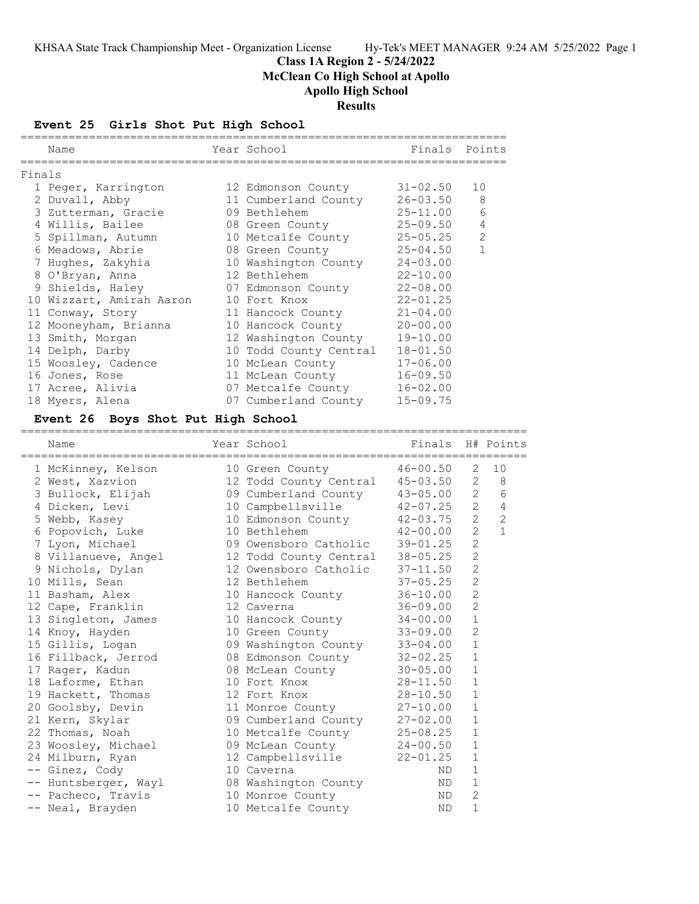## **Class 1A Region 2 - 5/24/2022 McClean Co High School at Apollo Apollo High School Results**

#### **Event 25 Girls Shot Put High School**

|        | Name                                             | Year School            | Finals Points |                |
|--------|--------------------------------------------------|------------------------|---------------|----------------|
| Finals |                                                  |                        |               |                |
|        |                                                  |                        | 31-02.50      | 10             |
|        | 1 Peger, Karrington           12 Edmonson County |                        |               |                |
|        | 2 Duvall, Abby                                   | 11 Cumberland County   | $26 - 03.50$  | $\,8\,$        |
|        | 3 Zutterman, Gracie                              | 09 Bethlehem           | $25 - 11.00$  | 6              |
|        | 4 Willis, Bailee                                 | 08 Green County        | $25 - 09.50$  | $\overline{4}$ |
|        | 5 Spillman, Autumn 10 Metcalfe County            |                        | $25 - 05.25$  | $\overline{2}$ |
|        | 6 Meadows, Abrie                                 | 08 Green County        | $25 - 04.50$  | $\mathbf{1}$   |
|        | 7 Hughes, Zakyhia                                | 10 Washington County   | $24 - 03.00$  |                |
|        | 8 O'Bryan, Anna                                  | 12 Bethlehem           | $22 - 10.00$  |                |
|        | 9 Shields, Haley                                 | 07 Edmonson County     | $22 - 08.00$  |                |
|        | 10 Wizzart, Amirah Aaron                         | 10 Fort Knox           | $22 - 01.25$  |                |
|        | 11 Conway, Story                                 | 11 Hancock County      | $21 - 04.00$  |                |
|        | 12 Mooneyham, Brianna                            | 10 Hancock County      | $20 - 00.00$  |                |
|        | 13 Smith, Morgan                                 | 12 Washington County   | $19 - 10.00$  |                |
|        | 14 Delph, Darby                                  | 10 Todd County Central | $18 - 01.50$  |                |
|        | 15 Woosley, Cadence                              | 10 McLean County       | $17 - 06.00$  |                |
|        | 16 Jones, Rose                                   | 11 McLean County       | $16 - 09.50$  |                |
|        | 17 Acree, Alivia                                 | 07 Metcalfe County     | $16 - 02.00$  |                |
|        | 18 Myers, Alena                                  | 07 Cumberland County   | $15 - 09.75$  |                |

#### **Event 26 Boys Shot Put High School**

| Name                 | --------------------------<br>Year School | Finals H# Points |                |                |
|----------------------|-------------------------------------------|------------------|----------------|----------------|
| 1 McKinney, Kelson   | 10 Green County                           | $46 - 00.50$     | 2              | 10             |
| 2 West, Xazvion      | 12 Todd County Central 45-03.50           |                  | 2              | -8             |
| 3 Bullock, Elijah    | 09 Cumberland County 43-05.00             |                  | 2              | 6              |
| 4 Dicken, Levi       | 10 Campbellsville                         | $42 - 07.25$     | $2^{\circ}$    | $\overline{4}$ |
| 5 Webb, Kasey        | 10 Edmonson County                        | $42 - 03.75$     | $\overline{2}$ | $\overline{2}$ |
| 6 Popovich, Luke     | 10 Bethlehem                              | $42 - 00.00$     | $\overline{2}$ | $\mathbf{1}$   |
| 7 Lyon, Michael      | 09 Owensboro Catholic                     | $39 - 01.25$     | $\overline{2}$ |                |
| 8 Villanueve, Angel  | 12 Todd County Central                    | $38 - 05.25$     | $\overline{2}$ |                |
| 9 Nichols, Dylan     | 12 Owensboro Catholic                     | $37 - 11.50$     | $\overline{2}$ |                |
| 10 Mills, Sean       | 12 Bethlehem                              | $37 - 05.25$     | $\overline{c}$ |                |
| 11 Basham, Alex      | 10 Hancock County                         | $36 - 10.00$     | $\overline{2}$ |                |
| 12 Cape, Franklin    | 12 Caverna                                | $36 - 09.00$     | $\overline{2}$ |                |
| 13 Singleton, James  | 10 Hancock County                         | $34 - 00.00$     | $\mathbf{1}$   |                |
| 14 Knoy, Hayden      | 10 Green County                           | $33 - 09.00$     | $\overline{2}$ |                |
| 15 Gillis, Logan     | 09 Washington County                      | $33 - 04.00$     | $\mathbf{1}$   |                |
| 16 Fillback, Jerrod  | 08 Edmonson County                        | $32 - 02.25$     | $\mathbf{1}$   |                |
| 17 Rager, Kadun      | 08 McLean County                          | $30 - 05.00$     | $\mathbf{1}$   |                |
| 18 Laforme, Ethan    | 10 Fort Knox                              | $28 - 11.50$     | $\mathbf{1}$   |                |
| 19 Hackett, Thomas   | 12 Fort Knox                              | $28 - 10.50$     | $\mathbf{1}$   |                |
| 20 Goolsby, Devin    | 11 Monroe County                          | $27 - 10.00$     | $\mathbf{1}$   |                |
| 21 Kern, Skylar      | 09 Cumberland County                      | $27 - 02.00$     | $\mathbf{1}$   |                |
| 22 Thomas, Noah      | 10 Metcalfe County 25-08.25               |                  | $\mathbf{1}$   |                |
| 23 Woosley, Michael  | 09 McLean County 24-00.50                 |                  | $\mathbf{1}$   |                |
| 24 Milburn, Ryan     | 12 Campbellsville                         | $22 - 01.25$     | $\mathbf{1}$   |                |
| -- Ginez, Cody       | 10 Caverna                                | ND.              | $\mathbf{1}$   |                |
| -- Huntsberger, Wayl | 08 Washington County                      | ND               | $\mathbf{1}$   |                |
| -- Pacheco, Travis   | 10 Monroe County                          | ND               | 2              |                |
| -- Neal, Brayden     | 10 Metcalfe County                        | ND.              | $\mathbf{1}$   |                |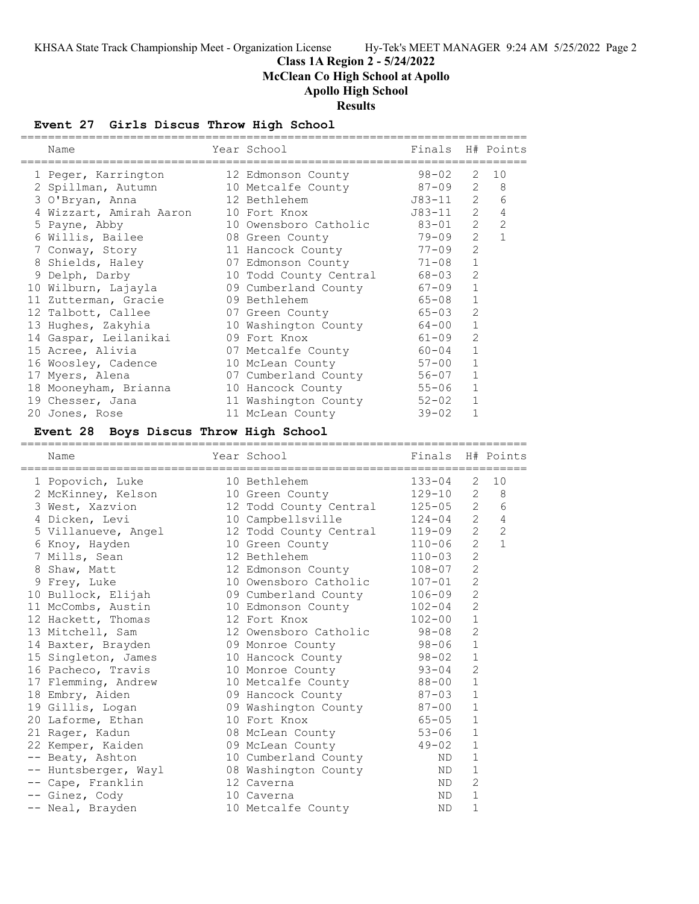**Class 1A Region 2 - 5/24/2022**

**McClean Co High School at Apollo**

**Apollo High School**

# **Results**

## **Event 27 Girls Discus Throw High School**

| ===========<br>Name                    | Year School                                 | Finals                 |                   | H# Points    |
|----------------------------------------|---------------------------------------------|------------------------|-------------------|--------------|
| 1 Peger, Karrington                    | 12 Edmonson County                          | 98-02                  | 2                 | 10           |
| 2 Spillman, Autumn                     | 10 Metcalfe County                          | 87-09                  | $\mathbf{2}$      | $\,8\,$      |
| 3 O'Bryan, Anna                        | 12 Bethlehem                                | J83-11                 | $\overline{2}$    | 6            |
| 4 Wizzart, Amirah Aaron                | 10 Fort Knox                                | J83-11                 | $2^{\circ}$       | 4            |
| 5 Payne, Abby                          | 10 Owensboro Catholic                       | 83-01                  | $\overline{2}$    | 2            |
| 6 Willis, Bailee                       | 08 Green County                             | 79-09                  | 2                 | $\mathbf{1}$ |
| 7 Conway, Story                        | 11 Hancock County                           | $77 - 09$              | $\overline{2}$    |              |
| 8 Shields, Haley                       | 07 Edmonson County                          | $71 - 08$              | $\mathbf{1}$      |              |
| 9 Delph, Darby                         | 10 Todd County Central                      | 68-03                  | 2                 |              |
| 10 Wilburn, Lajayla                    | 09 Cumberland County                        | $67 - 09$              | 1                 |              |
| 11 Zutterman, Gracie                   | 09 Bethlehem                                | 65-08                  | 1                 |              |
| 12 Talbott, Callee                     | 07 Green County                             | $65 - 03$              | 2                 |              |
| 13 Hughes, Zakyhia                     | 10 Washington County                        | 64-00                  | 1                 |              |
| 14 Gaspar, Leilanikai                  | 09 Fort Knox                                | $61 - 09$              | $\overline{c}$    |              |
| 15 Acree, Alivia                       | 07 Metcalfe County                          | $60 - 04$              | 1                 |              |
| 16 Woosley, Cadence                    | 10 McLean County                            | $57 - 00$              | 1                 |              |
| 17 Myers, Alena                        | 07 Cumberland County                        | 56-07                  | 1                 |              |
| 18 Mooneyham, Brianna                  | 10 Hancock County                           | 55-06                  | 1                 |              |
| 19 Chesser, Jana                       | 11 Washington County                        | $52 - 02$              | $\mathbf{1}$      |              |
| 20 Jones, Rose                         | 11 McLean County                            | $39 - 02$              | $\mathbf{1}$      |              |
|                                        |                                             |                        |                   |              |
| Event 28 Boys Discus Throw High School |                                             |                        |                   |              |
| Name                                   | Year School                                 | Finals                 |                   | H# Points    |
| 1 Popovich, Luke                       | 10 Bethlehem                                | 133-04                 | 2                 | 10           |
|                                        |                                             |                        |                   |              |
| 2 McKinney, Kelson                     | 10 Green County                             | 129-10                 | $\overline{2}$    | 8            |
| 3 West, Xazvion                        |                                             | $125 - 05$             | $\mathbf{2}$      | 6            |
|                                        | 12 Todd County Central                      | $124 - 04$             | $2^{\circ}$       | 4            |
| 4 Dicken, Levi                         | 10 Campbellsville                           | 119-09                 | $\overline{2}$    | 2            |
| 5 Villanueve, Angel                    | 12 Todd County Central<br>10 Green County   | $110 - 06$             | $\overline{2}$    | $\mathbf{1}$ |
| 6 Knoy, Hayden                         | 12 Bethlehem                                | 110-03                 | $\overline{2}$    |              |
| 7 Mills, Sean                          |                                             | $108 - 07$             | $\mathbf{2}$      |              |
| 8 Shaw, Matt                           | 12 Edmonson County<br>10 Owensboro Catholic | $107 - 01$             | 2                 |              |
| 9 Frey, Luke<br>10 Bullock, Elijah     |                                             | 106-09                 | $\mathbf{2}$      |              |
| 11 McCombs, Austin                     | 09 Cumberland County<br>10 Edmonson County  | $102 - 04$             | 2                 |              |
|                                        | 12 Fort Knox                                | $102 - 00$             | 1                 |              |
| 12 Hackett, Thomas                     | 12 Owensboro Catholic                       | $98 - 08$              | $\mathbf{2}$      |              |
| 13 Mitchell, Sam                       |                                             | $98 - 06$              | $\mathbf 1$       |              |
| 14 Baxter, Brayden                     | 09 Monroe County                            | $98 - 02$              | 1                 |              |
| 15 Singleton, James                    | 10 Hancock County                           |                        | 2                 |              |
| 16 Pacheco, Travis                     | 10 Monroe County                            | $93 - 04$              | 1                 |              |
| 17 Flemming, Andrew                    | 10 Metcalfe County                          | $88 - 00$              | 1                 |              |
| 18 Embry, Aiden                        | 09 Hancock County                           | $87 - 03$<br>$87 - 00$ | $\mathbf 1$       |              |
| 19 Gillis, Logan                       | 09 Washington County<br>10 Fort Knox        | $65 - 05$              | 1                 |              |
| 20 Laforme, Ethan                      |                                             | $53 - 06$              | 1                 |              |
| 21 Rager, Kadun                        | 08 McLean County                            |                        |                   |              |
| 22 Kemper, Kaiden                      | 09 McLean County                            | $49 - 02$              | 1                 |              |
| -- Beaty, Ashton                       | 10 Cumberland County                        | ND                     | 1<br>1            |              |
| -- Huntsberger, Wayl                   | 08 Washington County                        | ND                     |                   |              |
| -- Cape, Franklin<br>-- Ginez, Cody    | 12 Caverna<br>10 Caverna                    | ND<br>ND               | $\mathbf{2}$<br>1 |              |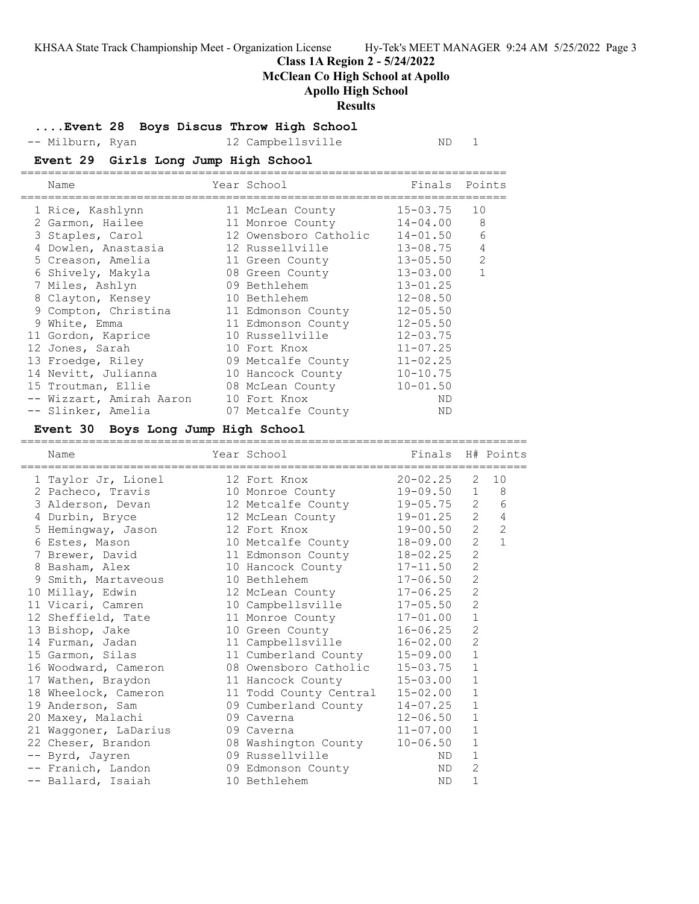#### **Class 1A Region 2 - 5/24/2022**

**McClean Co High School at Apollo**

#### **Apollo High School**

#### **Results**

**....Event 28 Boys Discus Throw High School**

-- Milburn, Ryan 12 Campbellsville ND 1

### **Event 29 Girls Long Jump High School**

| Name                     | Year School           |              | Finals Points  |
|--------------------------|-----------------------|--------------|----------------|
| 1 Rice, Kashlynn         | 11 McLean County      | 15-03.75     | 10             |
| 2 Garmon, Hailee         | 11 Monroe County      | 14-04.00     | 8              |
| 3 Staples, Carol         | 12 Owensboro Catholic | $14 - 01.50$ | 6              |
| 4 Dowlen, Anastasia      | 12 Russellville       | $13 - 08.75$ | 4              |
| 5 Creason, Amelia        | 11 Green County       | $13 - 05.50$ | $\overline{2}$ |
| 6 Shively, Makyla        | 08 Green County       | $13 - 03.00$ | $\mathbf{1}$   |
| 7 Miles, Ashlyn          | 09 Bethlehem          | $13 - 01.25$ |                |
| 8 Clayton, Kensey        | 10 Bethlehem          | $12 - 08.50$ |                |
| 9 Compton, Christina     | 11 Edmonson County    | $12 - 05.50$ |                |
| 9 White, Emma            | 11 Edmonson County    | $12 - 05.50$ |                |
| 11 Gordon, Kaprice       | 10 Russellville       | $12 - 03.75$ |                |
| 12 Jones, Sarah          | 10 Fort Knox          | $11 - 07.25$ |                |
| 13 Froedge, Riley        | 09 Metcalfe County    | $11 - 02.25$ |                |
| 14 Nevitt, Julianna      | 10 Hancock County     | $10 - 10.75$ |                |
| 15 Troutman, Ellie       | 08 McLean County      | $10 - 01.50$ |                |
| -- Wizzart, Amirah Aaron | 10 Fort Knox          | ND           |                |
| -- Slinker, Amelia       | 07 Metcalfe County    | ND           |                |
|                          |                       |              |                |

#### **Event 30 Boys Long Jump High School**

========================================================================== Name Year School Finals H# Points ========================================================================== 1 Taylor Jr, Lionel 12 Fort Knox 20-02.25 2 10 2 Pacheco, Travis 10 Monroe County 19-09.50 1 8 3 Alderson, Devan 12 Metcalfe County 19-05.75 2 6 4 Durbin, Bryce 12 McLean County 19-01.25 2 4 5 Hemingway, Jason 12 Fort Knox 19-00.50 2 2 6 Estes, Mason 10 Metcalfe County 18-09.00 2 1 7 Brewer, David 11 Edmonson County 18-02.25 2 8 Basham, Alex 10 Hancock County 17-11.50 2 9 Smith, Martaveous 10 Bethlehem 17-06.50 2 10 Millay, Edwin 12 McLean County 17-06.25 2 11 Vicari, Camren 10 Campbellsville 17-05.50 2 12 Sheffield, Tate 11 Monroe County 17-01.00 1 13 Bishop, Jake 10 Green County 16-06.25 2 14 Furman, Jadan 11 Campbellsville 16-02.00 2 15 Garmon, Silas 11 Cumberland County 15-09.00 1 16 Woodward, Cameron 08 Owensboro Catholic 15-03.75 1 17 Wathen, Braydon 11 Hancock County 15-03.00 1 18 Wheelock, Cameron 11 Todd County Central 15-02.00 1 19 Anderson, Sam 09 Cumberland County 14-07.25 1 20 Maxey, Malachi 09 Caverna 12-06.50 1 21 Waggoner, LaDarius 09 Caverna 11-07.00 1 22 Cheser, Brandon 08 Washington County 10-06.50 1 -- Byrd, Jayren 09 Russellville ND 1 -- Franich, Landon 09 Edmonson County ND 2 -- Ballard, Isaiah 10 Bethlehem ND 1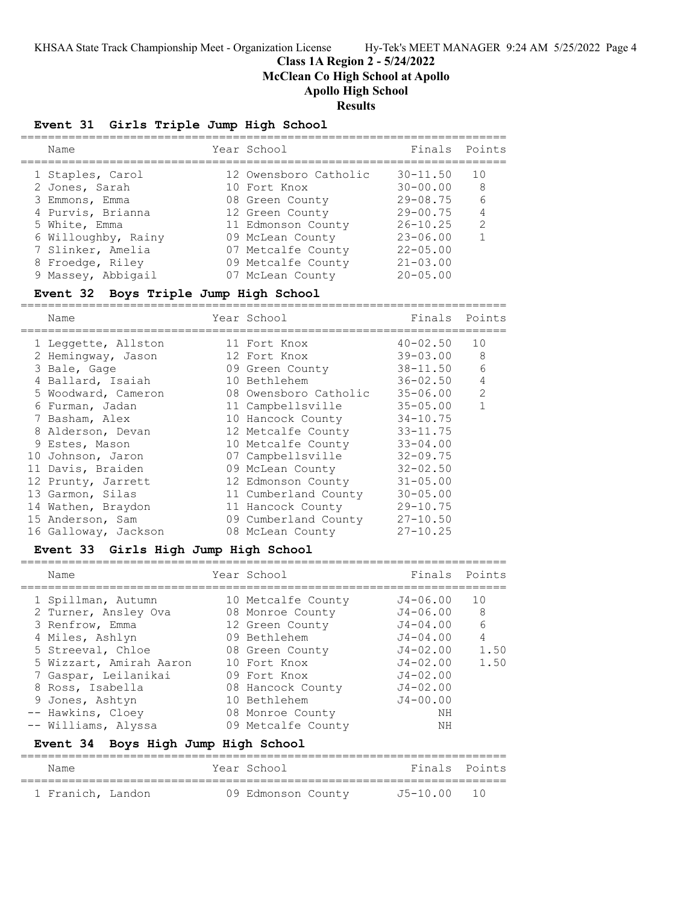#### **Class 1A Region 2 - 5/24/2022 McClean Co High School at Apollo**

**Apollo High School**

## **Results**

#### **Event 31 Girls Triple Jump High School**

| Name                | Year School           | Finals Points   |               |
|---------------------|-----------------------|-----------------|---------------|
| 1 Staples, Carol    | 12 Owensboro Catholic | $30 - 11.50$    | 10            |
| 2 Jones, Sarah      | 10 Fort Knox          | $30 - 00.00$    | 8             |
| 3 Emmons, Emma      | 08 Green County       | $29 - 08.75$    | 6             |
| 4 Purvis, Brianna   | 12 Green County       | $29 - 00.75$    |               |
| 5 White, Emma       | 11 Edmonson County    | $26 - 10.25$    | $\mathcal{P}$ |
| 6 Willoughby, Rainy | 09 McLean County      | $23 - 06.00$    |               |
| 7 Slinker, Amelia   | 07 Metcalfe County    | $22 - 05.00$    |               |
| 8 Froedge, Riley    | 09 Metcalfe County    | $21 - 03.00$    |               |
| 9 Massey, Abbigail  | 07 McLean County      | $20 - 0.5$ , 00 |               |
|                     |                       |                 |               |

#### **Event 32 Boys Triple Jump High School**

=======================================================================

| Name                 | Year School           | Finals       | Points |
|----------------------|-----------------------|--------------|--------|
| 1 Leggette, Allston  | 11 Fort Knox          | $40 - 02.50$ | 10     |
| 2 Hemingway, Jason   | 12 Fort Knox          | $39 - 03.00$ | 8      |
| 3 Bale, Gage         | 09 Green County       | 38-11.50     | 6      |
| 4 Ballard, Isaiah    | 10 Bethlehem          | $36 - 02.50$ | 4      |
| 5 Woodward, Cameron  | 08 Owensboro Catholic | 35-06.00     | 2      |
| 6 Furman, Jadan      | 11 Campbellsville     | $35 - 05.00$ |        |
| 7 Basham, Alex       | 10 Hancock County     | $34 - 10.75$ |        |
| 8 Alderson, Devan    | 12 Metcalfe County    | $33 - 11.75$ |        |
| 9 Estes, Mason       | 10 Metcalfe County    | $33 - 04.00$ |        |
| 10 Johnson, Jaron    | 07 Campbellsville     | $32 - 09.75$ |        |
| 11 Davis, Braiden    | 09 McLean County      | $32 - 02.50$ |        |
| 12 Prunty, Jarrett   | 12 Edmonson County    | $31 - 05.00$ |        |
| 13 Garmon, Silas     | 11 Cumberland County  | $30 - 05.00$ |        |
| 14 Wathen, Braydon   | 11 Hancock County     | $29 - 10.75$ |        |
| 15 Anderson, Sam     | 09 Cumberland County  | $27 - 10.50$ |        |
| 16 Galloway, Jackson | 08 McLean County      | $27 - 10.25$ |        |

#### **Event 33 Girls High Jump High School**

| Name                    | Year School        | Finals Points |                |
|-------------------------|--------------------|---------------|----------------|
| 1 Spillman, Autumn      | 10 Metcalfe County | $J4 - 06.00$  | 10             |
| 2 Turner, Ansley Ova    | 08 Monroe County   | $J4 - 06.00$  | - 8            |
| 3 Renfrow, Emma         | 12 Green County    | $J4 - 04.00$  | 6              |
| 4 Miles, Ashlyn         | 09 Bethlehem       | $J4 - 04.00$  | $\overline{4}$ |
| 5 Streeval, Chloe       | 08 Green County    | $J4 - 02.00$  | 1.50           |
| 5 Wizzart, Amirah Aaron | 10 Fort Knox       | $J4 - 02.00$  | 1.50           |
| 7 Gaspar, Leilanikai    | 09 Fort Knox       | $J4 - 02.00$  |                |
| 8 Ross, Isabella        | 08 Hancock County  | $J4 - 02.00$  |                |
| 9 Jones, Ashtyn         | 10 Bethlehem       | $J4 - 00.00$  |                |
| -- Hawkins, Cloey       | 08 Monroe County   | NΗ            |                |
| -- Williams, Alyssa     | 09 Metcalfe County | NΗ            |                |

#### **Event 34 Boys High Jump High School**

| Name              |  | Year School        | Finals Points |  |
|-------------------|--|--------------------|---------------|--|
| 1 Franich, Landon |  | 09 Edmonson County | J5-10.00 10   |  |